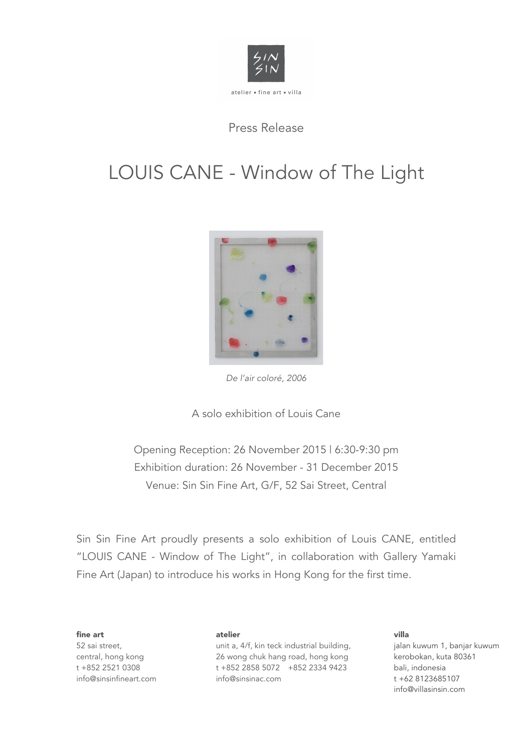

## Press Release

# LOUIS CANE - Window of The Light



*De l'air coloré, 2006*

A solo exhibition of Louis Cane

Opening Reception: 26 November 2015 | 6:30-9:30 pm Exhibition duration: 26 November - 31 December 2015 Venue: Sin Sin Fine Art, G/F, 52 Sai Street, Central

Sin Sin Fine Art proudly presents a solo exhibition of Louis CANE, entitled "LOUIS CANE - Window of The Light", in collaboration with Gallery Yamaki Fine Art (Japan) to introduce his works in Hong Kong for the first time.

fine art 52 sai street, central, hong kong t +852 2521 0308 info@sinsinfineart.com

#### atelier

unit a, 4/f, kin teck industrial building, 26 wong chuk hang road, hong kong t +852 2858 5072 +852 2334 9423 info@sinsinac.com

#### villa jalan kuwum 1, banjar kuwum kerobokan, kuta 80361 bali, indonesia t +62 8123685107 info@villasinsin.com